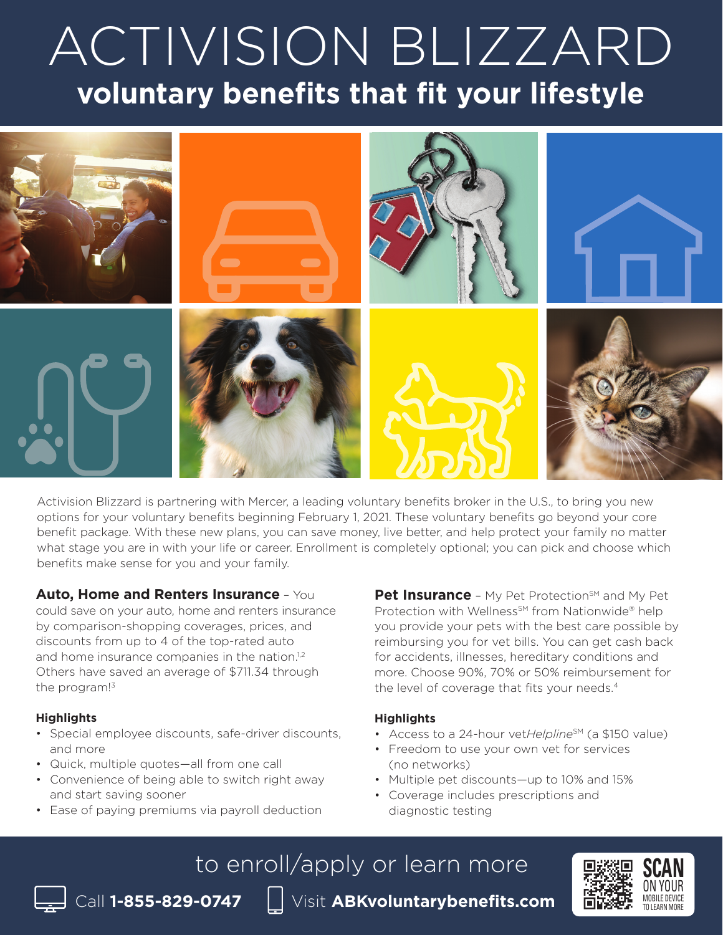# ACTIVISION BLIZZARD **voluntary benefits that fit your lifestyle**



Activision Blizzard is partnering with Mercer, a leading voluntary benefits broker in the U.S., to bring you new options for your voluntary benefits beginning February 1, 2021. These voluntary benefits go beyond your core benefit package. With these new plans, you can save money, live better, and help protect your family no matter what stage you are in with your life or career. Enrollment is completely optional; you can pick and choose which benefits make sense for you and your family.

## **Auto, Home and Renters Insurance** – You

could save on your auto, home and renters insurance by comparison-shopping coverages, prices, and discounts from up to 4 of the top-rated auto and home insurance companies in the nation.<sup>1,2</sup> Others have saved an average of \$711.34 through the program!<sup>3</sup>

#### **Highlights**

- Special employee discounts, safe-driver discounts, and more
- Quick, multiple quotes—all from one call
- Convenience of being able to switch right away and start saving sooner
- Ease of paying premiums via payroll deduction

**Pet Insurance** - My Pet Protection<sup>SM</sup> and My Pet Protection with Wellness<sup>SM</sup> from Nationwide® help you provide your pets with the best care possible by reimbursing you for vet bills. You can get cash back for accidents, illnesses, hereditary conditions and more. Choose 90%, 70% or 50% reimbursement for the level of coverage that fits your needs.<sup>4</sup>

## **Highlights**

- Access to a 24-hour vetHelpline<sup>SM</sup> (a \$150 value)
- Freedom to use your own vet for services (no networks)
- Multiple pet discounts—up to 10% and 15%
- Coverage includes prescriptions and diagnostic testing

# to enroll/apply or learn more

Call **1-855-829-0747** Visit **ABKvoluntarybenefits.com**